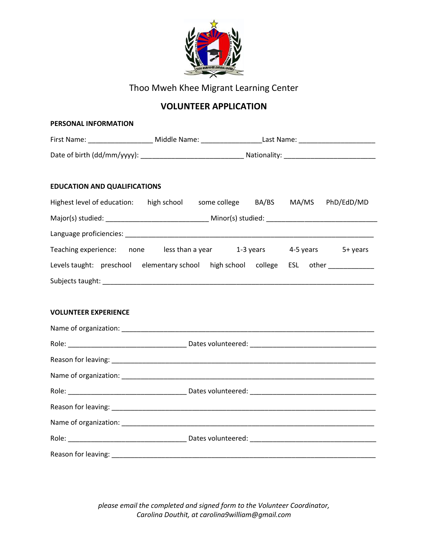

Thoo Mweh Khee Migrant Learning Center

## **VOLUNTEER APPLICATION**

| PERSONAL INFORMATION                                                              |                                                                         |  |  |  |  |  |  |  |  |  |
|-----------------------------------------------------------------------------------|-------------------------------------------------------------------------|--|--|--|--|--|--|--|--|--|
|                                                                                   |                                                                         |  |  |  |  |  |  |  |  |  |
|                                                                                   |                                                                         |  |  |  |  |  |  |  |  |  |
| <b>EDUCATION AND QUALIFICATIONS</b>                                               |                                                                         |  |  |  |  |  |  |  |  |  |
| Highest level of education: high school some college BA/BS MA/MS PhD/EdD/MD       |                                                                         |  |  |  |  |  |  |  |  |  |
|                                                                                   |                                                                         |  |  |  |  |  |  |  |  |  |
|                                                                                   |                                                                         |  |  |  |  |  |  |  |  |  |
|                                                                                   | Teaching experience: none less than a year 1-3 years 4-5 years 5+ years |  |  |  |  |  |  |  |  |  |
| Levels taught: preschool elementary school high school college ESL other ________ |                                                                         |  |  |  |  |  |  |  |  |  |
|                                                                                   |                                                                         |  |  |  |  |  |  |  |  |  |
|                                                                                   |                                                                         |  |  |  |  |  |  |  |  |  |
| <b>VOLUNTEER EXPERIENCE</b>                                                       |                                                                         |  |  |  |  |  |  |  |  |  |
|                                                                                   |                                                                         |  |  |  |  |  |  |  |  |  |
|                                                                                   |                                                                         |  |  |  |  |  |  |  |  |  |
|                                                                                   |                                                                         |  |  |  |  |  |  |  |  |  |
|                                                                                   |                                                                         |  |  |  |  |  |  |  |  |  |
|                                                                                   |                                                                         |  |  |  |  |  |  |  |  |  |
|                                                                                   |                                                                         |  |  |  |  |  |  |  |  |  |
|                                                                                   |                                                                         |  |  |  |  |  |  |  |  |  |
|                                                                                   |                                                                         |  |  |  |  |  |  |  |  |  |
|                                                                                   |                                                                         |  |  |  |  |  |  |  |  |  |

*please email the completed and signed form to the Volunteer Coordinator, Carolina Douthit, at carolina9william@gmail.com*